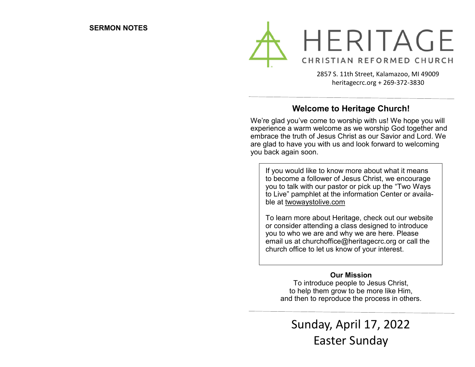

2857 S. 11th Street, Kalamazoo, MI 49009 heritagecrc.org + 269-372-3830

### **Welcome to Heritage Church!**

We're glad you've come to worship with us! We hope you will experience a warm welcome as we worship God together and embrace the truth of Jesus Christ as our Savior and Lord. We are glad to have you with us and look forward to welcoming you back again soon.

If you would like to know more about what it means to become a follower of Jesus Christ, we encourage you to talk with our pastor or pick up the "Two Ways to Live" pamphlet at the information Center or available at twowaystolive.com

To learn more about Heritage, check out our website or consider attending a class designed to introduce you to who we are and why we are here. Please email us at churchoffice@heritagecrc.org or call the church office to let us know of your interest.

### **Our Mission**

To introduce people to Jesus Christ, to help them grow to be more like Him, and then to reproduce the process in others.

Sunday, April 17, 2022 Easter Sunday